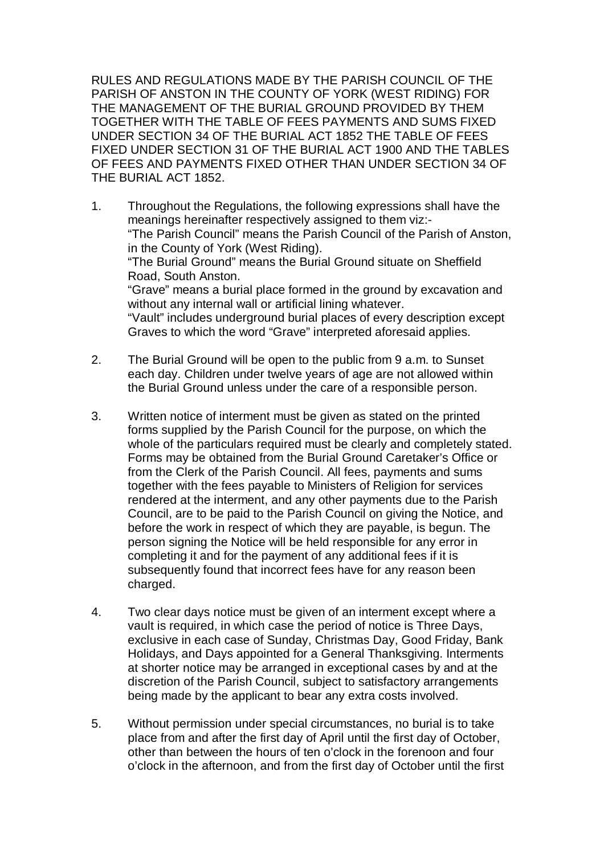RULES AND REGULATIONS MADE BY THE PARISH COUNCIL OF THE PARISH OF ANSTON IN THE COUNTY OF YORK (WEST RIDING) FOR THE MANAGEMENT OF THE BURIAL GROUND PROVIDED BY THEM TOGETHER WITH THE TABLE OF FEES PAYMENTS AND SUMS FIXED UNDER SECTION 34 OF THE BURIAL ACT 1852 THE TABLE OF FEES FIXED UNDER SECTION 31 OF THE BURIAL ACT 1900 AND THE TABLES OF FEES AND PAYMENTS FIXED OTHER THAN UNDER SECTION 34 OF THE BURIAL ACT 1852.

- 1. Throughout the Regulations, the following expressions shall have the meanings hereinafter respectively assigned to them viz:- "The Parish Council" means the Parish Council of the Parish of Anston, in the County of York (West Riding). "The Burial Ground" means the Burial Ground situate on Sheffield Road, South Anston. "Grave" means a burial place formed in the ground by excavation and without any internal wall or artificial lining whatever. "Vault" includes underground burial places of every description except Graves to which the word "Grave" interpreted aforesaid applies.
- 2. The Burial Ground will be open to the public from 9 a.m. to Sunset each day. Children under twelve years of age are not allowed within the Burial Ground unless under the care of a responsible person.
- 3. Written notice of interment must be given as stated on the printed forms supplied by the Parish Council for the purpose, on which the whole of the particulars required must be clearly and completely stated. Forms may be obtained from the Burial Ground Caretaker's Office or from the Clerk of the Parish Council. All fees, payments and sums together with the fees payable to Ministers of Religion for services rendered at the interment, and any other payments due to the Parish Council, are to be paid to the Parish Council on giving the Notice, and before the work in respect of which they are payable, is begun. The person signing the Notice will be held responsible for any error in completing it and for the payment of any additional fees if it is subsequently found that incorrect fees have for any reason been charged.
- 4. Two clear days notice must be given of an interment except where a vault is required, in which case the period of notice is Three Days, exclusive in each case of Sunday, Christmas Day, Good Friday, Bank Holidays, and Days appointed for a General Thanksgiving. Interments at shorter notice may be arranged in exceptional cases by and at the discretion of the Parish Council, subject to satisfactory arrangements being made by the applicant to bear any extra costs involved.
- 5. Without permission under special circumstances, no burial is to take place from and after the first day of April until the first day of October, other than between the hours of ten o'clock in the forenoon and four o'clock in the afternoon, and from the first day of October until the first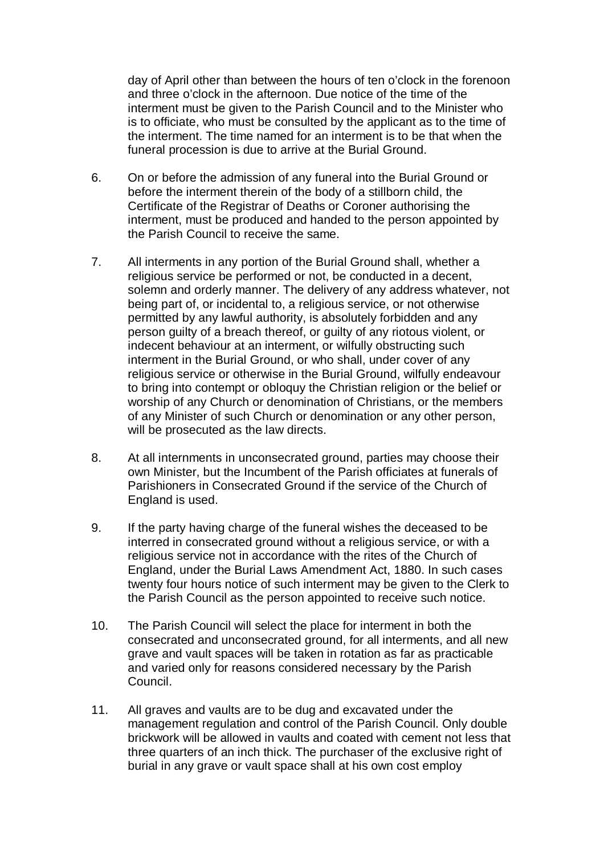day of April other than between the hours of ten o'clock in the forenoon and three o'clock in the afternoon. Due notice of the time of the interment must be given to the Parish Council and to the Minister who is to officiate, who must be consulted by the applicant as to the time of the interment. The time named for an interment is to be that when the funeral procession is due to arrive at the Burial Ground.

- 6. On or before the admission of any funeral into the Burial Ground or before the interment therein of the body of a stillborn child, the Certificate of the Registrar of Deaths or Coroner authorising the interment, must be produced and handed to the person appointed by the Parish Council to receive the same.
- 7. All interments in any portion of the Burial Ground shall, whether a religious service be performed or not, be conducted in a decent, solemn and orderly manner. The delivery of any address whatever, not being part of, or incidental to, a religious service, or not otherwise permitted by any lawful authority, is absolutely forbidden and any person guilty of a breach thereof, or guilty of any riotous violent, or indecent behaviour at an interment, or wilfully obstructing such interment in the Burial Ground, or who shall, under cover of any religious service or otherwise in the Burial Ground, wilfully endeavour to bring into contempt or obloquy the Christian religion or the belief or worship of any Church or denomination of Christians, or the members of any Minister of such Church or denomination or any other person, will be prosecuted as the law directs.
- 8. At all internments in unconsecrated ground, parties may choose their own Minister, but the Incumbent of the Parish officiates at funerals of Parishioners in Consecrated Ground if the service of the Church of England is used.
- 9. If the party having charge of the funeral wishes the deceased to be interred in consecrated ground without a religious service, or with a religious service not in accordance with the rites of the Church of England, under the Burial Laws Amendment Act, 1880. In such cases twenty four hours notice of such interment may be given to the Clerk to the Parish Council as the person appointed to receive such notice.
- 10. The Parish Council will select the place for interment in both the consecrated and unconsecrated ground, for all interments, and all new grave and vault spaces will be taken in rotation as far as practicable and varied only for reasons considered necessary by the Parish Council.
- 11. All graves and vaults are to be dug and excavated under the management regulation and control of the Parish Council. Only double brickwork will be allowed in vaults and coated with cement not less that three quarters of an inch thick. The purchaser of the exclusive right of burial in any grave or vault space shall at his own cost employ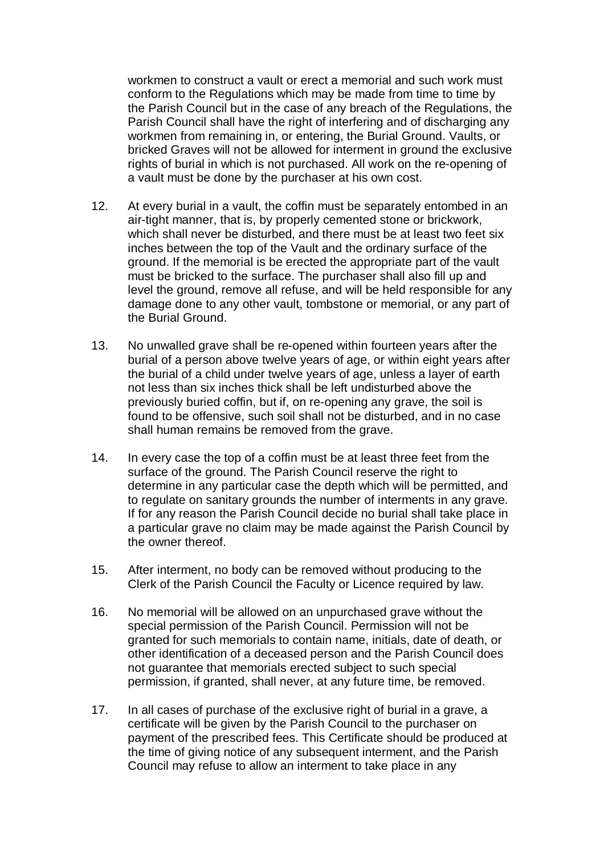workmen to construct a vault or erect a memorial and such work must conform to the Regulations which may be made from time to time by the Parish Council but in the case of any breach of the Regulations, the Parish Council shall have the right of interfering and of discharging any workmen from remaining in, or entering, the Burial Ground. Vaults, or bricked Graves will not be allowed for interment in ground the exclusive rights of burial in which is not purchased. All work on the re-opening of a vault must be done by the purchaser at his own cost.

- 12. At every burial in a vault, the coffin must be separately entombed in an air-tight manner, that is, by properly cemented stone or brickwork, which shall never be disturbed, and there must be at least two feet six inches between the top of the Vault and the ordinary surface of the ground. If the memorial is be erected the appropriate part of the vault must be bricked to the surface. The purchaser shall also fill up and level the ground, remove all refuse, and will be held responsible for any damage done to any other vault, tombstone or memorial, or any part of the Burial Ground.
- 13. No unwalled grave shall be re-opened within fourteen years after the burial of a person above twelve years of age, or within eight years after the burial of a child under twelve years of age, unless a layer of earth not less than six inches thick shall be left undisturbed above the previously buried coffin, but if, on re-opening any grave, the soil is found to be offensive, such soil shall not be disturbed, and in no case shall human remains be removed from the grave.
- 14. In every case the top of a coffin must be at least three feet from the surface of the ground. The Parish Council reserve the right to determine in any particular case the depth which will be permitted, and to regulate on sanitary grounds the number of interments in any grave. If for any reason the Parish Council decide no burial shall take place in a particular grave no claim may be made against the Parish Council by the owner thereof.
- 15. After interment, no body can be removed without producing to the Clerk of the Parish Council the Faculty or Licence required by law.
- 16. No memorial will be allowed on an unpurchased grave without the special permission of the Parish Council. Permission will not be granted for such memorials to contain name, initials, date of death, or other identification of a deceased person and the Parish Council does not guarantee that memorials erected subject to such special permission, if granted, shall never, at any future time, be removed.
- 17. In all cases of purchase of the exclusive right of burial in a grave, a certificate will be given by the Parish Council to the purchaser on payment of the prescribed fees. This Certificate should be produced at the time of giving notice of any subsequent interment, and the Parish Council may refuse to allow an interment to take place in any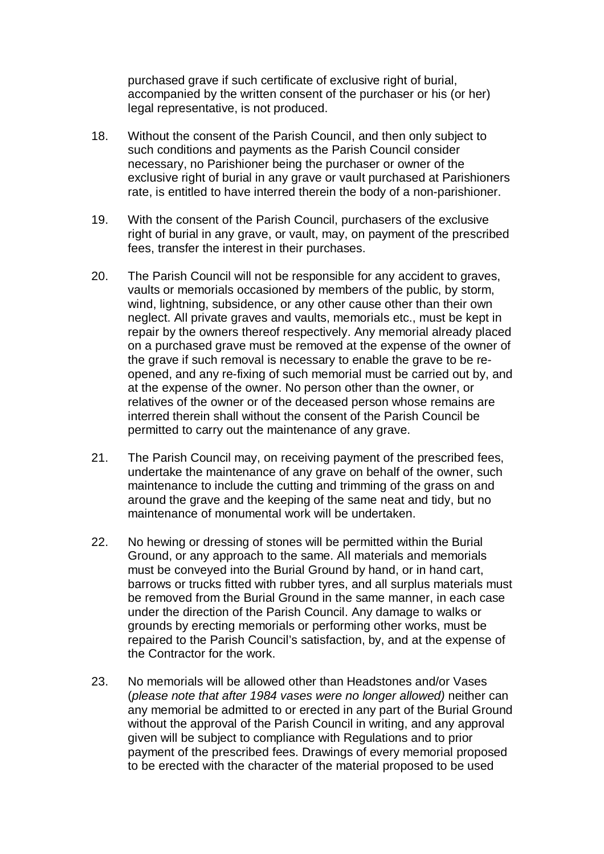purchased grave if such certificate of exclusive right of burial, accompanied by the written consent of the purchaser or his (or her) legal representative, is not produced.

- 18. Without the consent of the Parish Council, and then only subject to such conditions and payments as the Parish Council consider necessary, no Parishioner being the purchaser or owner of the exclusive right of burial in any grave or vault purchased at Parishioners rate, is entitled to have interred therein the body of a non-parishioner.
- 19. With the consent of the Parish Council, purchasers of the exclusive right of burial in any grave, or vault, may, on payment of the prescribed fees, transfer the interest in their purchases.
- 20. The Parish Council will not be responsible for any accident to graves, vaults or memorials occasioned by members of the public, by storm, wind, lightning, subsidence, or any other cause other than their own neglect. All private graves and vaults, memorials etc., must be kept in repair by the owners thereof respectively. Any memorial already placed on a purchased grave must be removed at the expense of the owner of the grave if such removal is necessary to enable the grave to be reopened, and any re-fixing of such memorial must be carried out by, and at the expense of the owner. No person other than the owner, or relatives of the owner or of the deceased person whose remains are interred therein shall without the consent of the Parish Council be permitted to carry out the maintenance of any grave.
- 21. The Parish Council may, on receiving payment of the prescribed fees, undertake the maintenance of any grave on behalf of the owner, such maintenance to include the cutting and trimming of the grass on and around the grave and the keeping of the same neat and tidy, but no maintenance of monumental work will be undertaken.
- 22. No hewing or dressing of stones will be permitted within the Burial Ground, or any approach to the same. All materials and memorials must be conveyed into the Burial Ground by hand, or in hand cart, barrows or trucks fitted with rubber tyres, and all surplus materials must be removed from the Burial Ground in the same manner, in each case under the direction of the Parish Council. Any damage to walks or grounds by erecting memorials or performing other works, must be repaired to the Parish Council's satisfaction, by, and at the expense of the Contractor for the work.
- 23. No memorials will be allowed other than Headstones and/or Vases (*please note that after 1984 vases were no longer allowed)* neither can any memorial be admitted to or erected in any part of the Burial Ground without the approval of the Parish Council in writing, and any approval given will be subject to compliance with Regulations and to prior payment of the prescribed fees. Drawings of every memorial proposed to be erected with the character of the material proposed to be used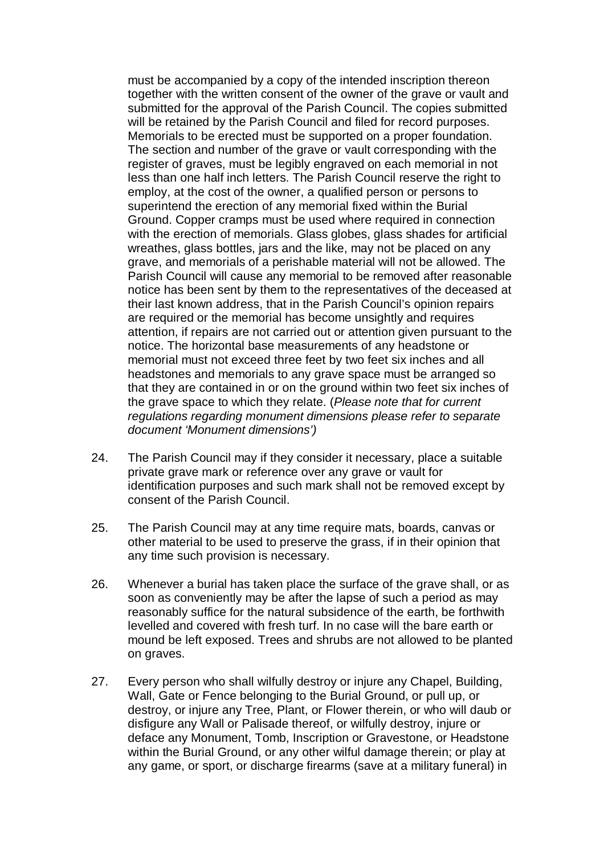must be accompanied by a copy of the intended inscription thereon together with the written consent of the owner of the grave or vault and submitted for the approval of the Parish Council. The copies submitted will be retained by the Parish Council and filed for record purposes. Memorials to be erected must be supported on a proper foundation. The section and number of the grave or vault corresponding with the register of graves, must be legibly engraved on each memorial in not less than one half inch letters. The Parish Council reserve the right to employ, at the cost of the owner, a qualified person or persons to superintend the erection of any memorial fixed within the Burial Ground. Copper cramps must be used where required in connection with the erection of memorials. Glass globes, glass shades for artificial wreathes, glass bottles, jars and the like, may not be placed on any grave, and memorials of a perishable material will not be allowed. The Parish Council will cause any memorial to be removed after reasonable notice has been sent by them to the representatives of the deceased at their last known address, that in the Parish Council's opinion repairs are required or the memorial has become unsightly and requires attention, if repairs are not carried out or attention given pursuant to the notice. The horizontal base measurements of any headstone or memorial must not exceed three feet by two feet six inches and all headstones and memorials to any grave space must be arranged so that they are contained in or on the ground within two feet six inches of the grave space to which they relate. (*Please note that for current regulations regarding monument dimensions please refer to separate document 'Monument dimensions')*

- 24. The Parish Council may if they consider it necessary, place a suitable private grave mark or reference over any grave or vault for identification purposes and such mark shall not be removed except by consent of the Parish Council.
- 25. The Parish Council may at any time require mats, boards, canvas or other material to be used to preserve the grass, if in their opinion that any time such provision is necessary.
- 26. Whenever a burial has taken place the surface of the grave shall, or as soon as conveniently may be after the lapse of such a period as may reasonably suffice for the natural subsidence of the earth, be forthwith levelled and covered with fresh turf. In no case will the bare earth or mound be left exposed. Trees and shrubs are not allowed to be planted on graves.
- 27. Every person who shall wilfully destroy or injure any Chapel, Building, Wall, Gate or Fence belonging to the Burial Ground, or pull up, or destroy, or injure any Tree, Plant, or Flower therein, or who will daub or disfigure any Wall or Palisade thereof, or wilfully destroy, injure or deface any Monument, Tomb, Inscription or Gravestone, or Headstone within the Burial Ground, or any other wilful damage therein; or play at any game, or sport, or discharge firearms (save at a military funeral) in